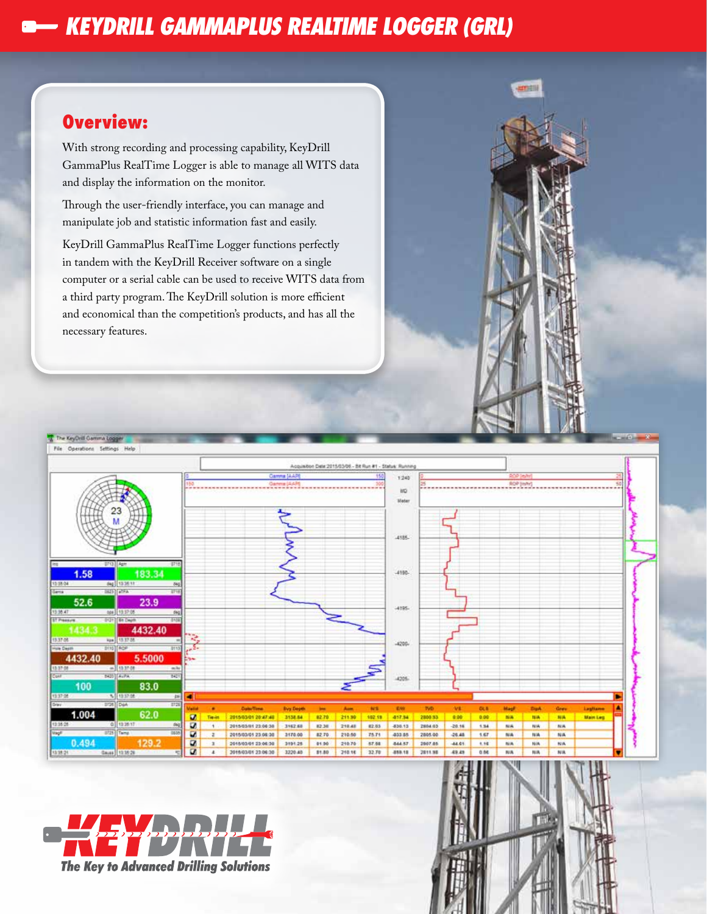## *KEYDRILL GAMMAPLUS REALTIME LOGGER (GRL)*

### **Overview:**

With strong recording and processing capability, KeyDrill GammaPlus RealTime Logger is able to manage all WITS data and display the information on the monitor.

Through the user-friendly interface, you can manage and manipulate job and statistic information fast and easily.

KeyDrill GammaPlus RealTime Logger functions perfectly in tandem with the KeyDrill Receiver software on a single computer or a serial cable can be used to receive WITS data from a third party program. The KeyDrill solution is more efficient and economical than the competition's products, and has all the necessary features.